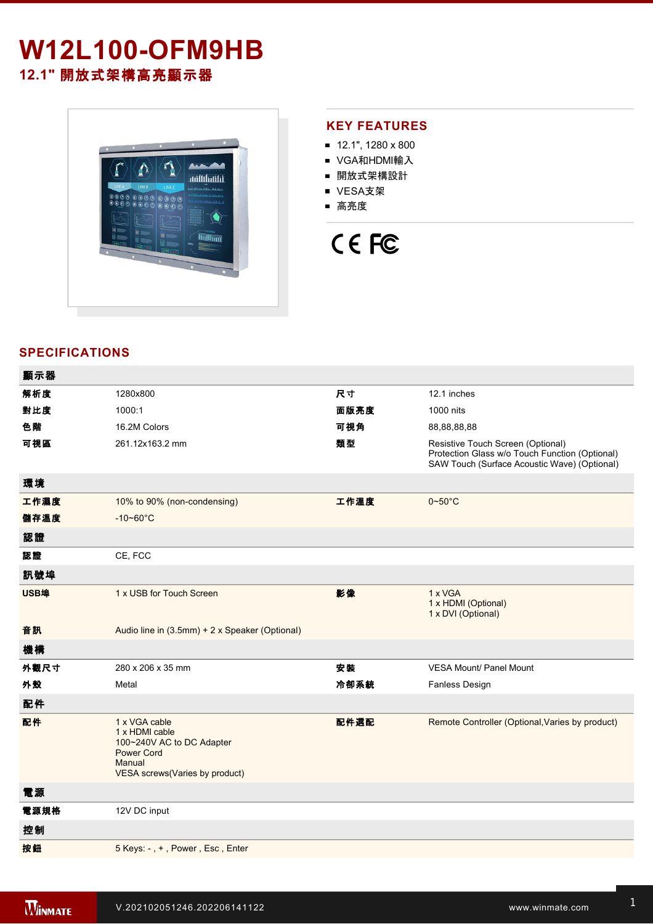## **W12L100-OFM9HB 12.1"** 開放式架構高亮顯示器



#### **KEY FEATURES**

- $12.1$ ", 1280 x 800
- VGA和HDMI輸入
- 開放式架構設計
- VESA支架
- 高亮度

# CE FC

#### **SPECIFICATIONS**

| 顯示器  |                                                                                                                               |      |                                                                                                                                     |
|------|-------------------------------------------------------------------------------------------------------------------------------|------|-------------------------------------------------------------------------------------------------------------------------------------|
| 解析度  | 1280x800                                                                                                                      | 尺寸   | 12.1 inches                                                                                                                         |
| 對比度  | 1000:1                                                                                                                        | 面版亮度 | 1000 nits                                                                                                                           |
| 色階   | 16.2M Colors                                                                                                                  | 可視角  | 88,88,88,88                                                                                                                         |
| 可視區  | 261.12x163.2 mm                                                                                                               | 類型   | Resistive Touch Screen (Optional)<br>Protection Glass w/o Touch Function (Optional)<br>SAW Touch (Surface Acoustic Wave) (Optional) |
| 環境   |                                                                                                                               |      |                                                                                                                                     |
| 工作濕度 | 10% to 90% (non-condensing)                                                                                                   | 工作溫度 | $0 - 50$ °C                                                                                                                         |
| 儲存溫度 | $-10 - 60^{\circ}$ C                                                                                                          |      |                                                                                                                                     |
| 認證   |                                                                                                                               |      |                                                                                                                                     |
| 認證   | CE, FCC                                                                                                                       |      |                                                                                                                                     |
| 訊號埠  |                                                                                                                               |      |                                                                                                                                     |
| USB埠 | 1 x USB for Touch Screen                                                                                                      | 影像   | 1 x VGA<br>1 x HDMI (Optional)<br>1 x DVI (Optional)                                                                                |
| 音訊   | Audio line in (3.5mm) + 2 x Speaker (Optional)                                                                                |      |                                                                                                                                     |
| 機構   |                                                                                                                               |      |                                                                                                                                     |
| 外觀尺寸 | 280 x 206 x 35 mm                                                                                                             | 安装   | <b>VESA Mount/ Panel Mount</b>                                                                                                      |
| 外殼   | Metal                                                                                                                         | 冷卻系統 | Fanless Design                                                                                                                      |
| 配件   |                                                                                                                               |      |                                                                                                                                     |
| 配件   | 1 x VGA cable<br>1 x HDMI cable<br>100~240V AC to DC Adapter<br><b>Power Cord</b><br>Manual<br>VESA screws(Varies by product) | 配件選配 | Remote Controller (Optional, Varies by product)                                                                                     |
| 電源   |                                                                                                                               |      |                                                                                                                                     |
| 電源規格 | 12V DC input                                                                                                                  |      |                                                                                                                                     |
| 控制   |                                                                                                                               |      |                                                                                                                                     |
| 按鈕   | 5 Keys: -, +, Power, Esc, Enter                                                                                               |      |                                                                                                                                     |
|      |                                                                                                                               |      |                                                                                                                                     |

**DIMENSIONS**  UNIT:MM